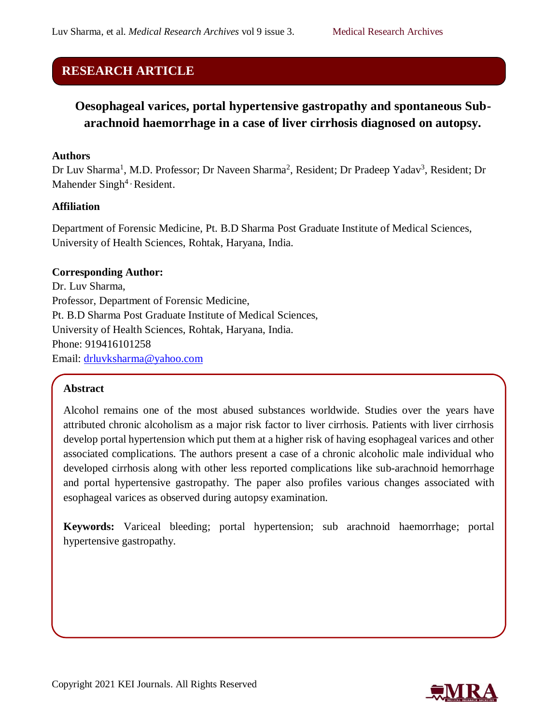## **RESEARCH ARTICLE**

# **Oesophageal varices, portal hypertensive gastropathy and spontaneous Subarachnoid haemorrhage in a case of liver cirrhosis diagnosed on autopsy.**

#### **Authors**

Dr Luv Sharma<sup>1</sup>, M.D. Professor; Dr Naveen Sharma<sup>2</sup>, Resident; Dr Pradeep Yadav<sup>3</sup>, Resident; Dr Mahender Singh<sup>4</sup> , Resident.

## **Affiliation**

Department of Forensic Medicine, Pt. B.D Sharma Post Graduate Institute of Medical Sciences, University of Health Sciences, Rohtak, Haryana, India.

#### **Corresponding Author:**

Dr. Luv Sharma, Professor, Department of Forensic Medicine, Pt. B.D Sharma Post Graduate Institute of Medical Sciences, University of Health Sciences, Rohtak, Haryana, India. Phone: 919416101258 Email: [drluvksharma@yahoo.com](mailto:drluvksharma@yahoo.com)

## **Abstract**

Alcohol remains one of the most abused substances worldwide. Studies over the years have attributed chronic alcoholism as a major risk factor to liver cirrhosis. Patients with liver cirrhosis develop portal hypertension which put them at a higher risk of having esophageal varices and other associated complications. The authors present a case of a chronic alcoholic male individual who developed cirrhosis along with other less reported complications like sub-arachnoid hemorrhage and portal hypertensive gastropathy. The paper also profiles various changes associated with esophageal varices as observed during autopsy examination.

**Keywords:** Variceal bleeding; portal hypertension; sub arachnoid haemorrhage; portal hypertensive gastropathy.

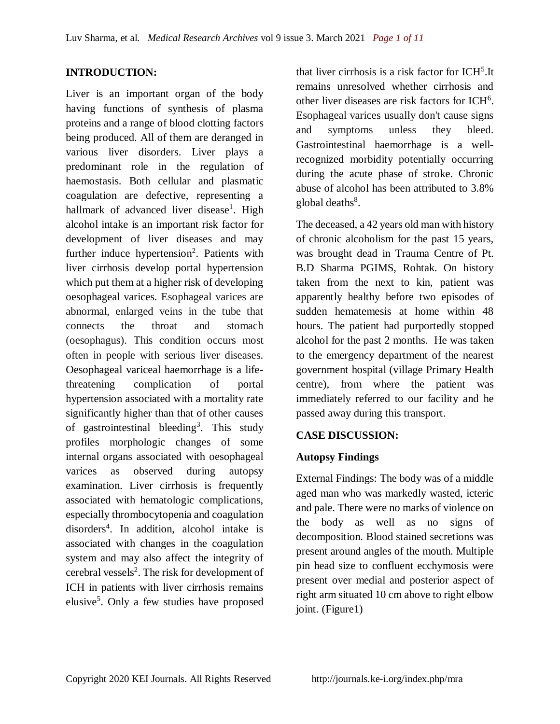## **INTRODUCTION:**

Liver is an important organ of the body having functions of synthesis of plasma proteins and a range of blood clotting factors being produced. All of them are deranged in various liver disorders. Liver plays a predominant role in the regulation of haemostasis. Both cellular and plasmatic coagulation are defective, representing a hallmark of advanced liver disease<sup>1</sup>. High alcohol intake is an important risk factor for development of liver diseases and may further induce hypertension<sup>2</sup>. Patients with liver cirrhosis develop portal hypertension which put them at a higher risk of developing oesophageal varices. Esophageal varices are abnormal, enlarged veins in the tube that connects the throat and stomach (oesophagus). This condition occurs most often in people with serious liver diseases. Oesophageal variceal haemorrhage is a lifethreatening complication of portal hypertension associated with a mortality rate significantly higher than that of other causes of gastrointestinal bleeding<sup>3</sup>. This study profiles morphologic changes of some internal organs associated with oesophageal varices as observed during autopsy examination. Liver cirrhosis is frequently associated with hematologic complications, especially thrombocytopenia and coagulation disorders<sup>4</sup> . In addition, alcohol intake is associated with changes in the coagulation system and may also affect the integrity of cerebral vessels<sup>2</sup>. The risk for development of ICH in patients with liver cirrhosis remains elusive<sup>5</sup>. Only a few studies have proposed

that liver cirrhosis is a risk factor for ICH<sup>5</sup>.It remains unresolved whether cirrhosis and other liver diseases are risk factors for ICH<sup>6</sup>. Esophageal varices usually don't cause signs and symptoms unless they bleed. Gastrointestinal haemorrhage is a wellrecognized morbidity potentially occurring during the acute phase of stroke. Chronic abuse of alcohol has been attributed to 3.8% global deaths<sup>8</sup>.

The deceased, a 42 years old man with history of chronic alcoholism for the past 15 years, was brought dead in Trauma Centre of Pt. B.D Sharma PGIMS, Rohtak. On history taken from the next to kin, patient was apparently healthy before two episodes of sudden hematemesis at home within 48 hours. The patient had purportedly stopped alcohol for the past 2 months. He was taken to the emergency department of the nearest government hospital (village Primary Health centre), from where the patient was immediately referred to our facility and he passed away during this transport.

#### **CASE DISCUSSION:**

#### **Autopsy Findings**

External Findings: The body was of a middle aged man who was markedly wasted, icteric and pale. There were no marks of violence on the body as well as no signs of decomposition. Blood stained secretions was present around angles of the mouth. Multiple pin head size to confluent ecchymosis were present over medial and posterior aspect of right arm situated 10 cm above to right elbow joint. (Figure1)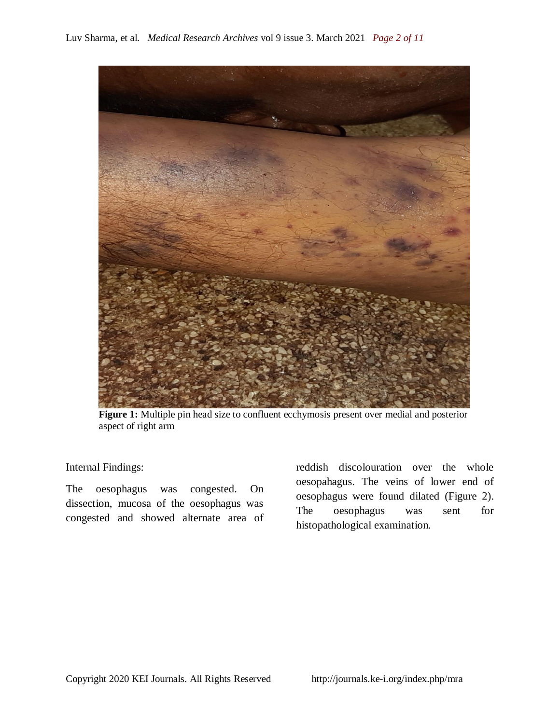

**Figure 1:** Multiple pin head size to confluent ecchymosis present over medial and posterior aspect of right arm

Internal Findings:

The oesophagus was congested. On dissection, mucosa of the oesophagus was congested and showed alternate area of

reddish discolouration over the whole oesopahagus. The veins of lower end of oesophagus were found dilated (Figure 2). The oesophagus was sent for histopathological examination.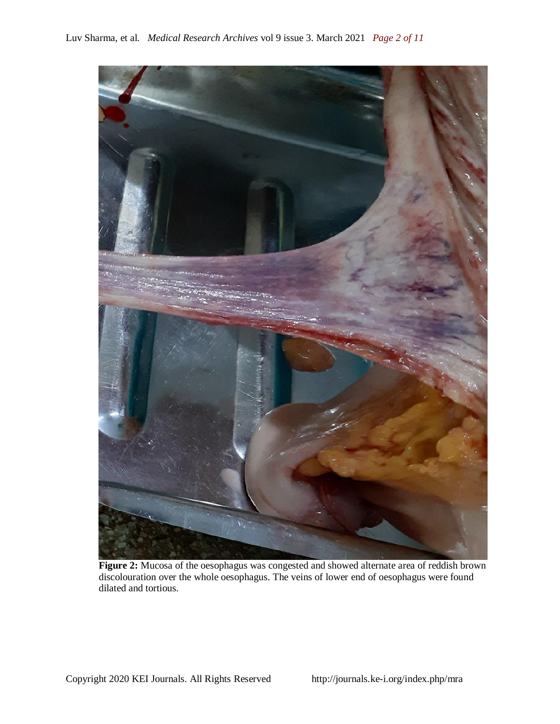

Figure 2: Mucosa of the oesophagus was congested and showed alternate area of reddish brown discolouration over the whole oesophagus. The veins of lower end of oesophagus were found dilated and tortious.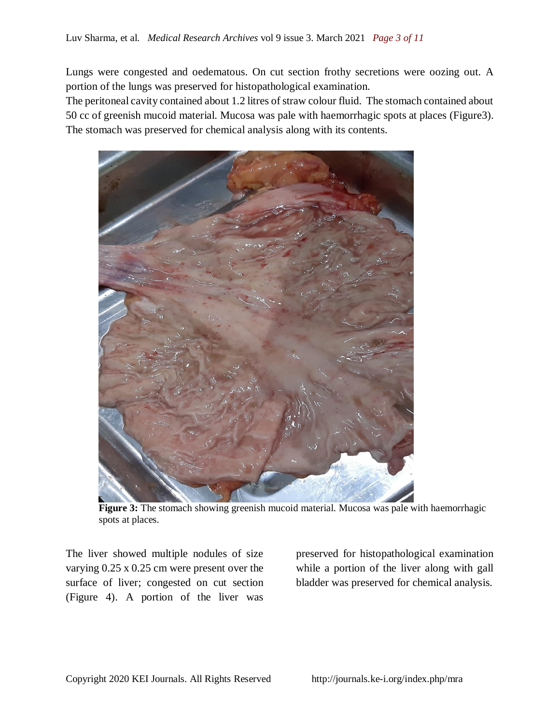Lungs were congested and oedematous. On cut section frothy secretions were oozing out. A portion of the lungs was preserved for histopathological examination.

The peritoneal cavity contained about 1.2 litres of straw colour fluid. The stomach contained about 50 cc of greenish mucoid material. Mucosa was pale with haemorrhagic spots at places (Figure3). The stomach was preserved for chemical analysis along with its contents.



**Figure 3:** The stomach showing greenish mucoid material. Mucosa was pale with haemorrhagic spots at places.

The liver showed multiple nodules of size varying 0.25 x 0.25 cm were present over the surface of liver; congested on cut section (Figure 4). A portion of the liver was

preserved for histopathological examination while a portion of the liver along with gall bladder was preserved for chemical analysis.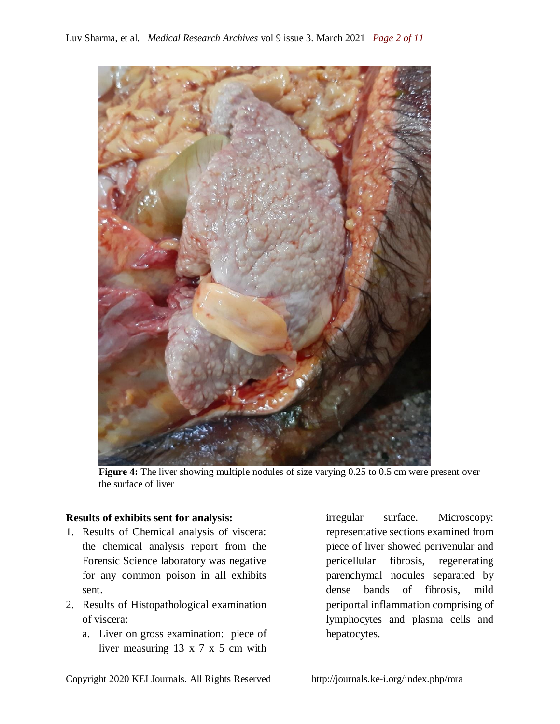

**Figure 4:** The liver showing multiple nodules of size varying 0.25 to 0.5 cm were present over the surface of liver

#### **Results of exhibits sent for analysis:**

- 1. Results of Chemical analysis of viscera: the chemical analysis report from the Forensic Science laboratory was negative for any common poison in all exhibits sent.
- 2. Results of Histopathological examination of viscera:
	- a. Liver on gross examination: piece of liver measuring 13 x 7 x 5 cm with

irregular surface. Microscopy: representative sections examined from piece of liver showed perivenular and pericellular fibrosis, regenerating parenchymal nodules separated by dense bands of fibrosis, mild periportal inflammation comprising of lymphocytes and plasma cells and hepatocytes.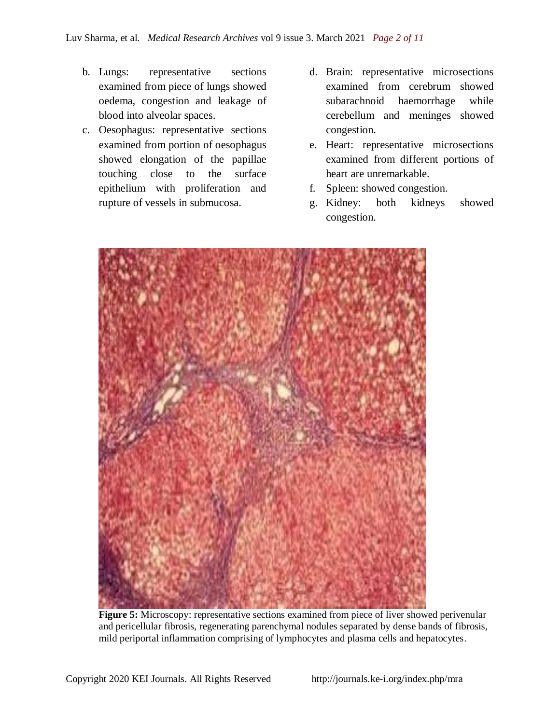- b. Lungs: representative sections examined from piece of lungs showed oedema, congestion and leakage of blood into alveolar spaces.
- c. Oesophagus: representative sections examined from portion of oesophagus showed elongation of the papillae touching close to the surface epithelium with proliferation and rupture of vessels in submucosa.
- d. Brain: representative microsections examined from cerebrum showed subarachnoid haemorrhage while cerebellum and meninges showed congestion.
- e. Heart: representative microsections examined from different portions of heart are unremarkable.
- f. Spleen: showed congestion.
- g. Kidney: both kidneys showed congestion.



**Figure 5:** Microscopy: representative sections examined from piece of liver showed perivenular and pericellular fibrosis, regenerating parenchymal nodules separated by dense bands of fibrosis, mild periportal inflammation comprising of lymphocytes and plasma cells and hepatocytes.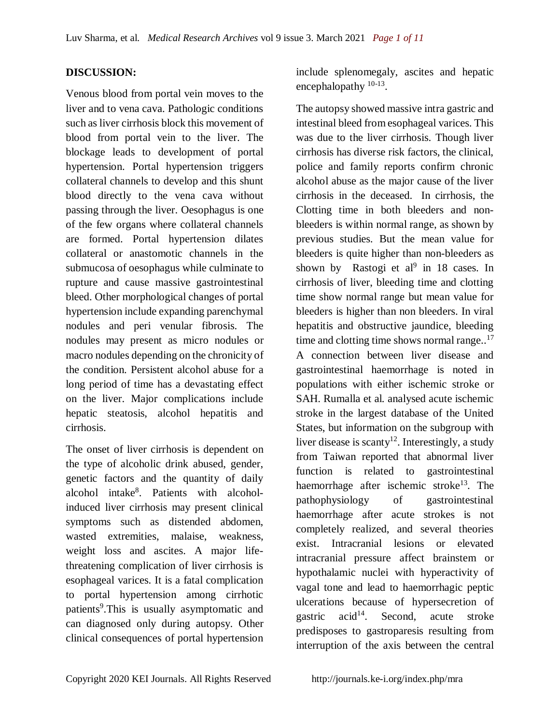## **DISCUSSION:**

Venous blood from portal vein moves to the liver and to vena cava. Pathologic conditions such as liver cirrhosis block this movement of blood from portal vein to the liver. The blockage leads to development of portal hypertension. Portal hypertension triggers collateral channels to develop and this shunt blood directly to the vena cava without passing through the liver. Oesophagus is one of the few organs where collateral channels are formed. Portal hypertension dilates collateral or anastomotic channels in the submucosa of oesophagus while culminate to rupture and cause massive gastrointestinal bleed. Other morphological changes of portal hypertension include expanding parenchymal nodules and peri venular fibrosis. The nodules may present as micro nodules or macro nodules depending on the chronicity of the condition. Persistent alcohol abuse for a long period of time has a devastating effect on the liver. Major complications include hepatic steatosis, alcohol hepatitis and cirrhosis.

The onset of liver cirrhosis is dependent on the type of alcoholic drink abused, gender, genetic factors and the quantity of daily alcohol intake<sup>8</sup>. Patients with alcoholinduced liver cirrhosis may present clinical symptoms such as distended abdomen, wasted extremities, malaise, weakness, weight loss and ascites. A major lifethreatening complication of liver cirrhosis is esophageal varices. It is a fatal complication to portal hypertension among cirrhotic patients<sup>9</sup>. This is usually asymptomatic and can diagnosed only during autopsy. Other clinical consequences of portal hypertension

include splenomegaly, ascites and hepatic encephalopathy <sup>10-13</sup>.

The autopsy showed massive intra gastric and intestinal bleed from esophageal varices. This was due to the liver cirrhosis. Though liver cirrhosis has diverse risk factors, the clinical, police and family reports confirm chronic alcohol abuse as the major cause of the liver cirrhosis in the deceased. In cirrhosis, the Clotting time in both bleeders and nonbleeders is within normal range, as shown by previous studies. But the mean value for bleeders is quite higher than non-bleeders as shown by Rastogi et  $al^9$  in 18 cases. In cirrhosis of liver, bleeding time and clotting time show normal range but mean value for bleeders is higher than non bleeders. In viral hepatitis and obstructive jaundice, bleeding time and clotting time shows normal range..<sup>17</sup> A connection between liver disease and gastrointestinal haemorrhage is noted in populations with either ischemic stroke or SAH. Rumalla et al. analysed acute ischemic stroke in the largest database of the United States, but information on the subgroup with liver disease is scanty<sup>12</sup>. Interestingly, a study from Taiwan reported that abnormal liver function is related to gastrointestinal haemorrhage after ischemic stroke<sup>13</sup>. The pathophysiology of gastrointestinal haemorrhage after acute strokes is not completely realized, and several theories exist. Intracranial lesions or elevated intracranial pressure affect brainstem or hypothalamic nuclei with hyperactivity of vagal tone and lead to haemorrhagic peptic ulcerations because of hypersecretion of gastric  $acid^{14}$ . Second, acute stroke predisposes to gastroparesis resulting from interruption of the axis between the central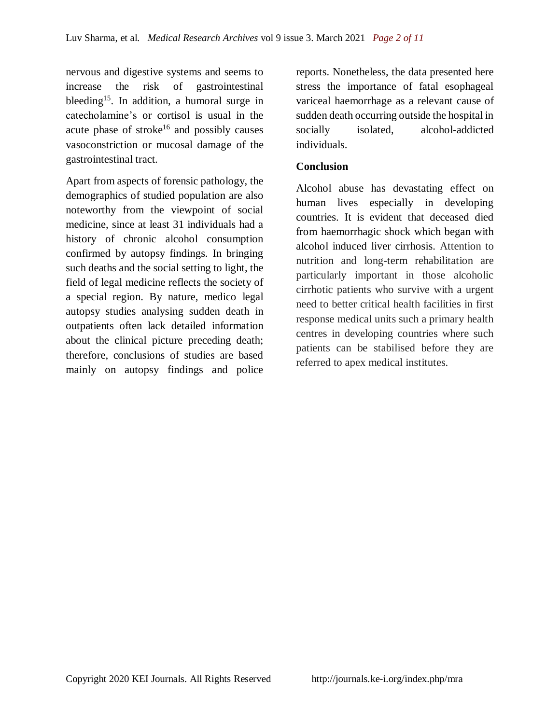nervous and digestive systems and seems to increase the risk of gastrointestinal bleeding<sup>15</sup>. In addition, a humoral surge in catecholamine's or cortisol is usual in the acute phase of stroke<sup>16</sup> and possibly causes vasoconstriction or mucosal damage of the gastrointestinal tract.

Apart from aspects of forensic pathology, the demographics of studied population are also noteworthy from the viewpoint of social medicine, since at least 31 individuals had a history of chronic alcohol consumption confirmed by autopsy findings. In bringing such deaths and the social setting to light, the field of legal medicine reflects the society of a special region. By nature, medico legal autopsy studies analysing sudden death in outpatients often lack detailed information about the clinical picture preceding death; therefore, conclusions of studies are based mainly on autopsy findings and police

reports. Nonetheless, the data presented here stress the importance of fatal esophageal variceal haemorrhage as a relevant cause of sudden death occurring outside the hospital in socially isolated, alcohol-addicted individuals.

## **Conclusion**

Alcohol abuse has devastating effect on human lives especially in developing countries. It is evident that deceased died from haemorrhagic shock which began with alcohol induced liver cirrhosis. Attention to nutrition and long-term rehabilitation are particularly important in those alcoholic cirrhotic patients who survive with a urgent need to better critical health facilities in first response medical units such a primary health centres in developing countries where such patients can be stabilised before they are referred to apex medical institutes.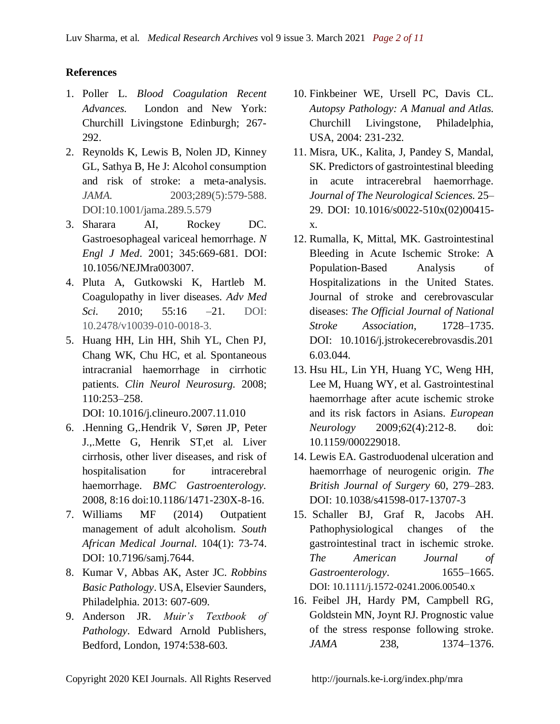## **References**

- 1. Poller L. *Blood Coagulation Recent Advances.* London and New York: Churchill Livingstone Edinburgh; 267- 292.
- 2. Reynolds K, Lewis B, Nolen JD, Kinney GL, Sathya B, He J: Alcohol consumption and risk of stroke: a meta-analysis. *JAMA.* 2003;289(5):579-588. DOI:10.1001/jama.289.5.579
- 3. Sharara AI, Rockey DC. Gastroesophageal variceal hemorrhage. *N Engl J Med*. 2001; 345:669-681. DOI: 10.1056/NEJMra003007.
- 4. Pluta A, Gutkowski K, Hartleb M. Coagulopathy in liver diseases. *Adv Med Sci.* 2010; 55:16 –21. DOI: 10.2478/v10039-010-0018-3.
- 5. Huang HH, Lin HH, Shih YL, Chen PJ, Chang WK, Chu HC, et al. Spontaneous intracranial haemorrhage in cirrhotic patients. *Clin Neurol Neurosurg.* 2008; 110:253–258.

DOI: [10.1016/j.clineuro.2007.11.010](https://doi.org/10.1016/j.clineuro.2007.11.010)

- 6. .Henning G,.Hendrik V, Søren JP, Peter J.,.Mette G, Henrik ST,et al. Liver cirrhosis, other liver diseases, and risk of hospitalisation for intracerebral haemorrhage. *BMC Gastroenterology.* 2008, 8:16 doi:10.1186/1471-230X-8-16.
- 7. Williams MF (2014) Outpatient management of adult alcoholism. *South African Medical Journal.* 104(1): 73-74. DOI: 10.7196/samj.7644.
- 8. Kumar V, Abbas AK, Aster JC. *Robbins Basic Pathology*. USA, Elsevier Saunders, Philadelphia. 2013: 607-609.
- 9. Anderson JR. *Muir's Textbook of Pathology*. Edward Arnold Publishers, Bedford, London, 1974:538-603.
- 10. Finkbeiner WE, Ursell PC, Davis CL. *Autopsy Pathology: A Manual and Atlas.* Churchill Livingstone, Philadelphia, USA, 2004: 231-232.
- 11. Misra, UK., Kalita, J, Pandey S, Mandal, SK. Predictors of gastrointestinal bleeding in acute intracerebral haemorrhage. *Journal of The Neurological Sciences.* 25– 29. DOI: 10.1016/s0022-510x(02)00415 x.
- 12. Rumalla, K, Mittal, MK. Gastrointestinal Bleeding in Acute Ischemic Stroke: A Population-Based Analysis of Hospitalizations in the United States. Journal of stroke and cerebrovascular diseases: *The Official Journal of National Stroke Association*, 1728–1735. DOI: [10.1016/j.jstrokecerebrovasdis.201](https://doi.org/10.1016/j.jstrokecerebrovasdis.2016.03.044) [6.03.044.](https://doi.org/10.1016/j.jstrokecerebrovasdis.2016.03.044)
- 13. Hsu HL, Lin YH, Huang YC, Weng HH, Lee M, Huang WY, et al. Gastrointestinal haemorrhage after acute ischemic stroke and its risk factors in Asians. *European Neurology* 2009;62(4):212-8. doi: 10.1159/000229018.
- 14. Lewis EA. Gastroduodenal ulceration and haemorrhage of neurogenic origin. *The British Journal of Surgery* 60, 279–283. DOI: [10.1038/s41598-017-13707-3](https://dx.doi.org/10.1038%2Fs41598-017-13707-3)
- 15. Schaller BJ, Graf R, Jacobs AH. Pathophysiological changes of the gastrointestinal tract in ischemic stroke. *The American Journal of Gastroenterology*. 1655–1665. DOI: [10.1111/j.1572-0241.2006.00540.x](https://doi.org/10.1111/j.1572-0241.2006.00540.x)
- 16. Feibel JH, Hardy PM, Campbell RG, Goldstein MN, Joynt RJ. Prognostic value of the stress response following stroke. *JAMA* 238, 1374–1376.